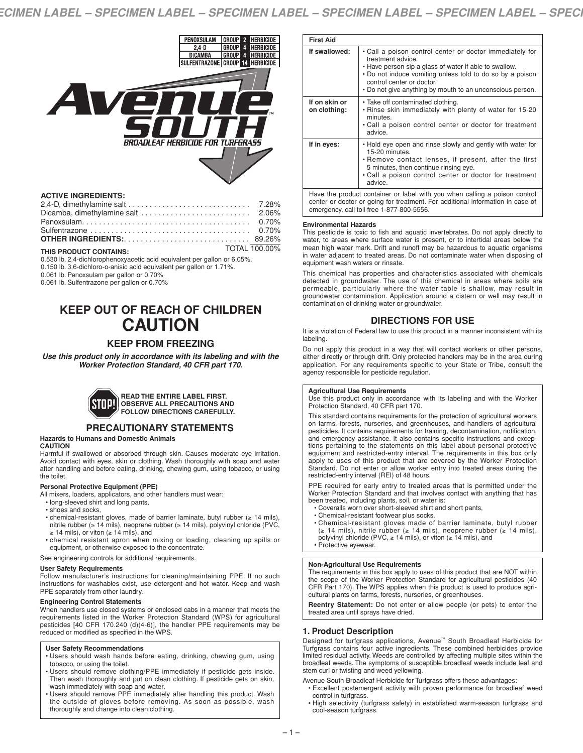

# **ACTIVE INGREDIENTS:**

| Sulfentrazone $\ldots \ldots \ldots \ldots \ldots \ldots \ldots \ldots \ldots \ldots \ldots \ldots$ 0.70% |  |
|-----------------------------------------------------------------------------------------------------------|--|
|                                                                                                           |  |
| <b>TOTAL 100.00%</b><br>THIS PRODUCT CONTAINS:                                                            |  |

0.530 lb. 2,4-dichlorophenoxyacetic acid equivalent per gallon or 6.05%. 0.150 lb. 3,6-dichloro-o-anisic acid equivalent per gallon or 1.71%.

0.061 lb. Penoxsulam per gallon or 0.70%

0.061 lb. Sulfentrazone per gallon or 0.70%

# **KEEP OUT OF REACH OF CHILDREN CAUTION**

# **KEEP FROM FREEZING**

*Use this product only in accordance with its labeling and with the Worker Protection Standard, 40 CFR part 170.*



# **PRECAUTIONARY STATEMENTS**

#### **Hazards to Humans and Domestic Animals CAUTION**

Harmful if swallowed or absorbed through skin. Causes moderate eye irritation. Avoid contact with eyes, skin or clothing. Wash thoroughly with soap and water after handling and before eating, drinking, chewing gum, using tobacco, or using the toilet.

#### **Personal Protective Equipment (PPE)**

All mixers, loaders, applicators, and other handlers must wear:

- long-sleeved shirt and long pants,
- shoes and socks,
- chemical-resistant gloves, made of barrier laminate, butyl rubber (≥ 14 mils), nitrile rubber (≥ 14 mils), neoprene rubber (≥ 14 mils), polyvinyl chloride (PVC, ≥ 14 mils), or viton (≥ 14 mils), and
- chemical resistant apron when mixing or loading, cleaning up spills or equipment, or otherwise exposed to the concentrate.

See engineering controls for additional requirements.

#### **User Safety Requirements**

Follow manufacturer's instructions for cleaning/maintaining PPE. If no such instructions for washables exist, use detergent and hot water. Keep and wash PPE separately from other laundry.

#### **Engineering Control Statements**

When handlers use closed systems or enclosed cabs in a manner that meets the requirements listed in the Worker Protection Standard (WPS) for agricultural pesticides [40 CFR 170.240 (d)(4-6)], the handler PPE requirements may be reduced or modified as specified in the WPS.

#### **User Safety Recommendations**

- Users should wash hands before eating, drinking, chewing gum, using tobacco, or using the toilet.
- Users should remove clothing/PPE immediately if pesticide gets inside. Then wash thoroughly and put on clean clothing. If pesticide gets on skin, wash immediately with soap and water.
- Users should remove PPE immediately after handling this product. Wash the outside of gloves before removing. As soon as possible, wash thoroughly and change into clean clothing.

| <b>First Aid</b>              |                                                                                                                                                                                                                                                                                                |
|-------------------------------|------------------------------------------------------------------------------------------------------------------------------------------------------------------------------------------------------------------------------------------------------------------------------------------------|
| If swallowed:                 | • Call a poison control center or doctor immediately for<br>treatment advice.<br>. Have person sip a glass of water if able to swallow.<br>• Do not induce vomiting unless told to do so by a poison<br>control center or doctor.<br>. Do not give anything by mouth to an unconscious person. |
| If on skin or<br>on clothing: | • Take off contaminated clothing.<br>. Rinse skin immediately with plenty of water for 15-20<br>minutes.<br>• Call a poison control center or doctor for treatment<br>advice.                                                                                                                  |
| If in eyes:                   | . Hold eye open and rinse slowly and gently with water for<br>15-20 minutes.<br>• Remove contact lenses, if present, after the first<br>5 minutes, then continue rinsing eye.<br>• Call a poison control center or doctor for treatment<br>advice.                                             |
|                               | Have the product container or label with you when calling a poison control<br>center or doctor or going for treatment. For additional information in case of<br>emergency, call toll free 1-877-800-5556.                                                                                      |

#### **Environmental Hazards**

This pesticide is toxic to fish and aquatic invertebrates. Do not apply directly to water, to areas where surface water is present, or to intertidal areas below the mean high water mark. Drift and runoff may be hazardous to aquatic organisms in water adjacent to treated areas. Do not contaminate water when disposing of equipment wash waters or rinsate.

This chemical has properties and characteristics associated with chemicals detected in groundwater. The use of this chemical in areas where soils are permeable, particularly where the water table is shallow, may result in groundwater contamination. Application around a cistern or well may result in contamination of drinking water or groundwater.

# **DIRECTIONS FOR USE**

It is a violation of Federal law to use this product in a manner inconsistent with its labeling.

Do not apply this product in a way that will contact workers or other persons, either directly or through drift. Only protected handlers may be in the area during application. For any requirements specific to your State or Tribe, consult the agency responsible for pesticide regulation.

#### **Agricultural Use Requirements**

Use this product only in accordance with its labeling and with the Worker Protection Standard, 40 CFR part 170.

This standard contains requirements for the protection of agricultural workers on farms, forests, nurseries, and greenhouses, and handlers of agricultural pesticides. It contains requirements for training, decontamination, notification, and emergency assistance. It also contains specific instructions and exceptions pertaining to the statements on this label about personal protective equipment and restricted-entry interval. The requirements in this box only apply to uses of this product that are covered by the Worker Protection Standard. Do not enter or allow worker entry into treated areas during the restricted-entry interval (REI) of 48 hours.

PPE required for early entry to treated areas that is permitted under the Worker Protection Standard and that involves contact with anything that has been treated, including plants, soil, or water is:

- Coveralls worn over short-sleeved shirt and short pants,
- Chemical-resistant footwear plus socks,
- Chemical-resistant gloves made of barrier laminate, butyl rubber ( $\geq 14$  mils), neoprene rubber ( $\geq 14$  mils), polyvinyl chloride (PVC,  $\geq 14$  mils), or viton ( $\geq 14$  mils), and
- Protective eyewear.

## **Non-Agricultural Use Requirements**

The requirements in this box apply to uses of this product that are NOT within the scope of the Worker Protection Standard for agricultural pesticides (40 CFR Part 170). The WPS applies when this product is used to produce agricultural plants on farms, forests, nurseries, or greenhouses.

**Reentry Statement:** Do not enter or allow people (or pets) to enter the treated area until sprays have dried.

#### **1. Product Description**

Designed for turfgrass applications, Avenue™ South Broadleaf Herbicide for Turfgrass contains four active ingredients. These combined herbicides provide limited residual activity. Weeds are controlled by affecting multiple sites within the broadleaf weeds. The symptoms of susceptible broadleaf weeds include leaf and stem curl or twisting and weed yellowing.

Avenue South Broadleaf Herbicide for Turfgrass offers these advantages:

- Excellent postemergent activity with proven performance for broadleaf weed control in turfgrass.
- High selectivity (turfgrass safety) in established warm-season turfgrass and cool-season turfgrass.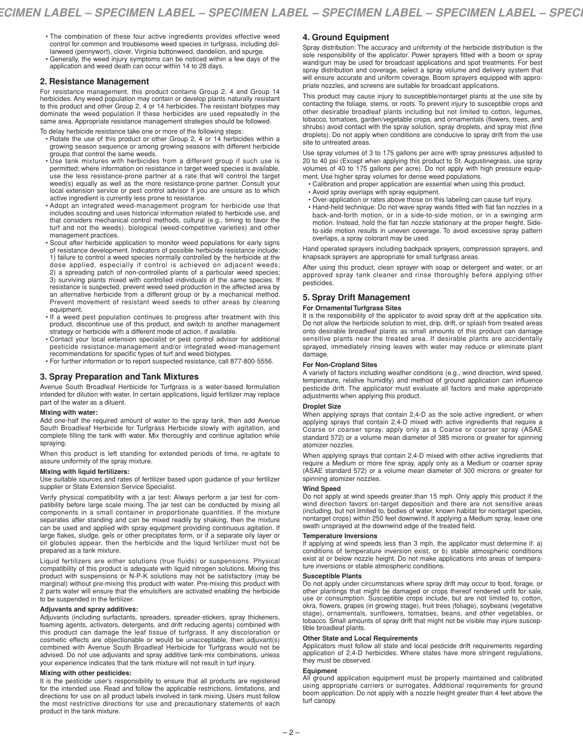- The combination of these four active ingredients provides effective weed control for common and troublesome weed species in turfgrass, including dol-larweed (pennywort), clover, Virginia buttonweed, dandelion, and spurge.
- Generally, the weed injury symptoms can be noticed within a few days of the application and weed death can occur within 14 to 28 days.

#### **2. Resistance Management**

For resistance management, this product contains Group 2, 4 and Group 14<br>herbicides. Any weed population may contain or develop plants naturally resistant<br>to this product and other Group 2, 4 or 14 herbicides. The resistan same area. Appropriate resistance management strategies should be followed.

- To delay herbicide resistance take one or more of the following steps: Rotate the use of this product or other Group 2, 4 or 14 herbicides within a growing season sequence or among growing seasons with different herbicide groups that control the same weeds.
- Use tank mixtures with herbicides from a different group if such use is permitted; where information on resistance in target weed species is available, use the less resistance-prone partner at a rate that will control the target weed(s) equally as well as the more resistance-prone partner. Consult your local extension service or pest control advisor if you are unsure as to which active ingredient is currently less prone to resistance.
- Adopt an integrated weed-management program for herbicide use that includes scouting and uses historical information related to herbicide use, and that considers mechanical control methods, cultural (e.g., timing to favor the turf and not the weeds), biological (weed-competitive varieties) and other management practices.
- Scout after herbicide application to monitor weed populations for early signs of resistance development. Indicators of possible herbicide resistance include: 1) failure to control a weed species normally controlled by the herbicide at the dose applied, especially if control is achieved on adjacent weeds; 2) a spreading patch of non-controlled plants of a particular weed species; 3) surviving plants mixed with controlled individuals of the same species. If resistance is suspected, prevent weed seed production in the affected area by an alternative herbicide from a different group or by a mechanical method. Prevent movement of resistant weed seeds to other areas by cleaning equipment.
- If a weed pest population continues to progress after treatment with this product, discontinue use of this product, and switch to another management strategy or herbicide with a different mode of action, if available.
- Contact your local extension specialist or pest control advisor for additional pesticide resistance-management and/or integrated weed-management recommendations for specific types of turf and weed biotypes.
- For further information or to report suspected resistance, call 877-800-5556.

#### **3. Spray Preparation and Tank Mixtures**

Avenue South Broadleaf Herbicide for Turfgrass is a water-based formulation intended for dilution with water. In certain applications, liquid fertilizer may replace part of the water as a diluent.

#### **Mixing with water:**

Add one-half the required amount of water to the spray tank, then add Avenue South Broadleaf Herbicide for Turfgrass Herbicide slowly with agitation, and complete filling the tank with water. Mix thoroughly and continue agitation while spraying.

When this product is left standing for extended periods of time, re-agitate to assure uniformity of the spray mixture.

#### **Mixing with liquid fertilizers:**

Use suitable sources and rates of fertilizer based upon guidance of your fertilizer supplier or State Extension Service Specialist.

Verify physical compatibility with a jar test: Always perform a jar test for compatibility before large scale mixing. The jar test can be conducted by mixing all components in a small container in proportionate quantities. If the mixture separates after standing and can be mixed readily by shaking, then the mixture can be used and applied with spray equipment providing continuous agitation. If large flakes, sludge, gels or other precipitates form, or if a separate oily layer or oil globules appear, then the herbicide and the liquid fertilizer must not be prepared as a tank mixture.

Liquid fertilizers are either solutions (true fluids) or suspensions. Physical compatibility of this product is adequate with liquid nitrogen solutions. Mixing this product with suspensions or N-P-K solutions may not be satisfactory (may be marginal) without pre-mixing this product with water. Pre-mixing this product with 2 parts water will ensure that the emulsifiers are activated enabling the herbicide to be suspended in the fertilizer.

#### **Adjuvants and spray additives:**

Adjuvants (including surfactants, spreaders, spreader-stickers, spray thickeners, foaming agents, activators, detergents, and drift reducing agents) combined with this product can damage the leaf tissue of turfgrass. If any discoloration or cosmetic effects are objectionable or would be unacceptable, then adjuvant(s) combined with Avenue South Broadleaf Herbicide for Turfgrass would not be advised. Do not use adjuvants and spray additive tank-mix combinations, unless your experience indicates that the tank mixture will not result in turf injury.

#### **Mixing with other pesticides:**

It is the pesticide user's responsibility to ensure that all products are registered for the intended use. Read and follow the applicable restrictions, limitations, and directions for use on all product labels involved in tank mixing. Users must follow the most restrictive directions for use and precautionary statements of each product in the tank mixture.

# **4. Ground Equipment**

Spray distribution: The accuracy and uniformity of the herbicide distribution is the sole responsibility of the applicator. Power sprayers fitted with a boom or spray wand/gun may be used for broadcast applications and spot treatments. For best spray distribution and coverage, select a spray volume and delivery system that will ensure accurate and uniform coverage. Boom sprayers equipped with appropriate nozzles, and screens are suitable for broadcast applications.

This product may cause injury to susceptible/nontarget plants at the use site by contacting the foliage, stems, or roots. To prevent injury to susceptible crops and other desirable broadleaf plants including but not limited to cotton, legumes, tobacco, tomatoes, garden/vegetable crops, and ornamentals (flowers, trees, and shrubs) avoid contact with the spray solution, spray droplets, and spray mist (fine droplets). Do not apply when conditions are conducive to spray drift from the use site to untreated areas.

Use spray volumes of 3 to 175 gallons per acre with spray pressures adjusted to 20 to 40 psi (Except when applying this product to St. Augustinegrass, use spray volumes of 40 to 175 gallons per acre). Do not apply with high pressure equipment. Use higher spray volumes for dense weed populations.

- Calibration and proper application are essential when using this product.
- Avoid spray overlaps with spray equipment.
- Over-application or rates above those on this labeling can cause turf injury.
- Hand-held technique: Do not wave spray wands fitted with flat fan nozzles in a back-and-forth motion, or in a side-to-side motion, or in a swinging arm motion. Instead, hold the flat fan nozzle stationary at the proper height. Sideto-side motion results in uneven coverage. To avoid excessive spray pattern overlaps, a spray colorant may be used.

Hand operated sprayers including backpack sprayers, compression sprayers, and knapsack sprayers are appropriate for small turfgrass areas.

After using this product, clean sprayer with soap or detergent and water, or an approved spray tank cleaner and rinse thoroughly before applying other pesticides.

# **5. Spray Drift Management**

# **For Ornamental Turfgrass Sites**

It is the responsibility of the applicator to avoid spray drift at the application site. Do not allow the herbicide solution to mist, drip, drift, or splash from treated areas onto desirable broadleaf plants as small amounts of this product can damage sensitive plants near the treated area. If desirable plants are accidentally sprayed, immediately rinsing leaves with water may reduce or eliminate plant damage.

### **For Non-Cropland Sites**

A variety of factors including weather conditions (e.g., wind direction, wind speed, temperature, relative humidity) and method of ground application can influence pesticide drift. The applicator must evaluate all factors and make appropriate adjustments when applying this product.

### **Droplet Size**

When applying sprays that contain 2,4-D as the sole active ingredient, or when applying sprays that contain 2,4-D mixed with active ingredients that require a Coarse or coarser spray, apply only as a Coarse or coarser spray (ASAE standard 572) or a volume mean diameter of 385 microns or greater for spinning atomizer nozzles.

When applying sprays that contain 2,4-D mixed with other active ingredients that require a Medium or more fine spray, apply only as a Medium or coarser spray (ASAE standard 572) or a volume mean diameter of 300 microns or greater for spinning atomizer nozzles.

#### **Wind Speed**

Do not apply at wind speeds greater than 15 mph. Only apply this product if the wind direction favors on-target deposition and there are not sensitive areas (including, but not limited to, bodies of water, known habitat for nontarget species, nontarget crops) within 250 feet downwind. If applying a Medium spray, leave one swath unsprayed at the downwind edge of the treated field.

#### **Temperature Inversions**

If applying at wind speeds less than 3 mph, the applicator must determine if: a) conditions of temperature inversion exist, or b) stable atmospheric conditions exist at or below nozzle height. Do not make applications into areas of temperature inversions or stable atmospheric conditions.

#### **Susceptible Plants**

Do not apply under circumstances where spray drift may occur to food, forage, or<br>other plantings that might be damaged or crops thereof rendered unfit for sale,<br>use or consumption. Susceptible crops include, but are not li tible broadleaf plants.

**Other State and Local Requirements** Applicators must follow all state and local pesticide drift requirements regarding application of 2,4-D herbicides. Where states have more stringent regulations, they must be observed.

#### **Equipment**

All ground application equipment must be properly maintained and calibrated using appropriate carriers or surrogates. Additional requirements for ground boom application: Do not apply with a nozzle height greater than 4 feet above the turf canopy.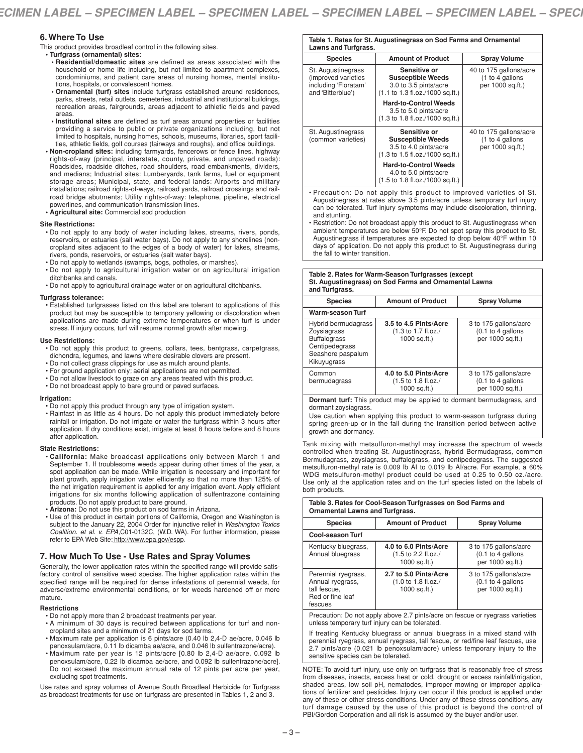# **6. Where To Use**

This product provides broadleaf control in the following sites.

- **• Turfgrass (ornamental) sites:**
- **• Residential/domestic sites** are defined as areas associated with the household or home life including, but not limited to apartment complexes, condominiums, and patient care areas of nursing homes, mental institutions, hospitals, or convalescent homes.
- **• Ornamental (turf) sites** include turfgrass established around residences, parks, streets, retail outlets, cemeteries, industrial and institutional buildings, recreation areas, fairgrounds, areas adjacent to athletic fields and paved areas.
- **• Institutional sites** are defined as turf areas around properties or facilities providing a service to public or private organizations including, but not limited to hospitals, nursing homes, schools, museums, libraries, sport facilities, athletic fields, golf courses (fairways and roughs), and office buildings.
- **• Non-cropland sites:** including farmyards, fencerows or fence lines, highway rights-of-way (principal, interstate, county, private, and unpaved roads): Roadsides, roadside ditches, road shoulders, road embankments, dividers, and medians; Industrial sites: Lumberyards, tank farms, fuel or equipment storage areas; Municipal, state, and federal lands: Airports and military installations; railroad rights-of-ways, railroad yards, railroad crossings and railroad bridge abutments; Utility rights-of-way: telephone, pipeline, electrical powerlines, and communication transmission lines. **• Agricultural site:** Commercial sod production
- 

#### **Site Restrictions:**

- Do not apply to any body of water including lakes, streams, rivers, ponds, reservoirs, or estuaries (salt water bays). Do not apply to any shorelines (noncropland sites adjacent to the edges of a body of water) for lakes, streams, rivers, ponds, reservoirs, or estuaries (salt water bays).
- Do not apply to wetlands (swamps, bogs, potholes, or marshes).
- Do not apply to agricultural irrigation water or on agricultural irrigation ditchbanks and canals.
- Do not apply to agricultural drainage water or on agricultural ditchbanks.

#### **Turfgrass tolerance:**

• Established turfgrasses listed on this label are tolerant to applications of this product but may be susceptible to temporary yellowing or discoloration when applications are made during extreme temperatures or when turf is under stress. If injury occurs, turf will resume normal growth after mowing.

#### **Use Restrictions:**

- Do not apply this product to greens, collars, tees, bentgrass, carpetgrass, dichondra, legumes, and lawns where desirable clovers are present.
- Do not collect grass clippings for use as mulch around plants.
- For ground application only; aerial applications are not permitted.
- Do not allow livestock to graze on any areas treated with this product.
- Do not broadcast apply to bare ground or paved surfaces.

#### **Irrigation:**

- Do not apply this product through any type of irrigation system.
- Rainfast in as little as 4 hours. Do not apply this product immediately before rainfall or irrigation. Do not irrigate or water the turfgrass within 3 hours after application. If dry conditions exist, irrigate at least 8 hours before and 8 hours after application.

#### **State Restrictions:**

- **California:** Make broadcast applications only between March 1 and September 1. If troublesome weeds appear during other times of the year, a spot application can be made. While irrigation is necessary and important for plant growth, apply irrigation water efficiently so that no more than 125% of the net irrigation requirement is applied for any irrigation event. Apply efficient irrigations for six months following application of sulfentrazone containing products. Do not apply product to bare ground.
- **Arizona:** Do not use this product on sod farms in Arizona.
- Use of this product in certain portions of California, Oregon and Washington is subject to the January 22, 2004 Order for injunctive relief in *Washington Toxics Coalition. et al. v. EPA*,C01-0132C, (W.D. WA). For further information, please refer to EPA Web Site: http://www.epa.gov/espp.

#### **7. How Much To Use - Use Rates and Spray Volumes**

Generally, the lower application rates within the specified range will provide satisfactory control of sensitive weed species. The higher application rates within the specified range will be required for dense infestations of perennial weeds, for adverse/extreme environmental conditions, or for weeds hardened off or more mature.

#### **Restrictions**

- Do not apply more than 2 broadcast treatments per year.
- A minimum of 30 days is required between applications for turf and noncropland sites and a minimum of 21 days for sod farms.
- Maximum rate per application is 6 pints/acre (0.40 lb 2,4-D ae/acre, 0.046 lb penoxsulam/acre, 0.11 lb dicamba ae/acre, and 0.046 lb sulfentrazone/acre).
- Maximum rate per year is 12 pints/acre [0.80 lb 2,4-D ae/acre, 0.092 lb penoxsulam/acre, 0.22 lb dicamba ae/acre, and 0.092 lb sulfentrazone/acre]. Do not exceed the maximum annual rate of 12 pints per acre per year, excluding spot treatments.

Use rates and spray volumes of Avenue South Broadleaf Herbicide for Turfgrass as broadcast treatments for use on turfgrass are presented in Tables 1, 2 and 3.

| <b>Species</b>                                                                         | <b>Amount of Product</b>                                                                                                        | <b>Spray Volume</b>                                            |
|----------------------------------------------------------------------------------------|---------------------------------------------------------------------------------------------------------------------------------|----------------------------------------------------------------|
| St. Augustinegrass<br>(improved varieties<br>including 'Floratam'<br>and 'Bitterblue') | Sensitive or<br><b>Susceptible Weeds</b><br>3.0 to 3.5 pints/acre<br>$(1.1 \text{ to } 1.3 \text{ fl.oz}./1000 \text{ sq.ft.})$ | 40 to 175 gallons/acre<br>(1 to 4 gallons)<br>per 1000 sq.ft.) |
|                                                                                        | <b>Hard-to-Control Weeds</b><br>3.5 to 5.0 pints/acre<br>$(1.3 \text{ to } 1.8 \text{ fl.oz.}/1000 \text{ sq.ft.})$             |                                                                |
| St. Augustinegrass<br>(common varieties)                                               | Sensitive or<br><b>Susceptible Weeds</b><br>3.5 to 4.0 pints/acre<br>$(1.3 \text{ to } 1.5 \text{ fl.oz.}/1000 \text{ sq.ft.})$ | 40 to 175 gallons/acre<br>(1 to 4 gallons)<br>per 1000 sq.ft.) |
|                                                                                        | <b>Hard-to-Control Weeds</b><br>4.0 to 5.0 pints/acre<br>(1.5 to 1.8 fl.oz./1000 sq.ft.)                                        |                                                                |

- Precaution: Do not apply this product to improved varieties of St. Augustinegrass at rates above 3.5 pints/acre unless temporary turf injury can be tolerated. Turf injury symptoms may include discoloration, thinning, and stunting.
- Restriction: Do not broadcast apply this product to St. Augustinegrass when ambient temperatures are below 50°F. Do not spot spray this product to St. Augustinegrass if temperatures are expected to drop below 40°F within 10 days of application. Do not apply this product to St. Augustinegrass during the fall to winter transition.

#### **Table 2. Rates for Warm-Season Turfgrasses (except St. Augustinegrass) on Sod Farms and Ornamental Lawns and Turfgrass.**

| <b>Species</b>                                                                                                  | <b>Amount of Product</b>                                                          | <b>Spray Volume</b>                                              |
|-----------------------------------------------------------------------------------------------------------------|-----------------------------------------------------------------------------------|------------------------------------------------------------------|
| Warm-season Turf                                                                                                |                                                                                   |                                                                  |
| Hybrid bermudagrass<br>Zoysiagrass<br><b>Buffalograss</b><br>Centipedegrass<br>Seashore paspalum<br>Kikuyugrass | 3.5 to 4.5 Pints/Acre<br>$(1.3 \text{ to } 1.7 \text{ fl.oz.})$<br>$1000$ sq.ft.) | 3 to 175 gallons/acre<br>$(0.1$ to 4 gallons<br>per 1000 sq.ft.) |
| Common<br>bermudagrass                                                                                          | 4.0 to 5.0 Pints/Acre<br>$(1.5 \text{ to } 1.8 \text{ fl.oz.})$<br>$1000$ sq.ft.) | 3 to 175 gallons/acre<br>$(0.1$ to 4 gallons<br>per 1000 sq.ft.) |

**Dormant turf:** This product may be applied to dormant bermudagrass, and dormant zoysiagrass.

Use caution when applying this product to warm-season turfgrass during spring green-up or in the fall during the transition period between active growth and dormancy.

Tank mixing with metsulfuron-methyl may increase the spectrum of weeds controlled when treating St. Augustinegrass, hybrid Bermudagrass, common Bermudagrass, zoysiagrass, buffalograss, and centipedegrass. The suggested metsulfuron-methyl rate is 0.009 lb AI to 0.019 lb AI/acre. For example, a 60% WDG metsulfuron-methyl product could be used at 0.25 to 0.50 oz./acre. Use only at the application rates and on the turf species listed on the labels of both products.

| Table 3. Rates for Cool-Season Turfgrasses on Sod Farms and<br>Ornamental Lawns and Turfgrass. |                                                                                   |                                                                  |
|------------------------------------------------------------------------------------------------|-----------------------------------------------------------------------------------|------------------------------------------------------------------|
| <b>Species</b>                                                                                 | <b>Amount of Product</b>                                                          | <b>Spray Volume</b>                                              |
| <b>Cool-season Turf</b>                                                                        |                                                                                   |                                                                  |
| Kentucky bluegrass,<br>Annual bluegrass                                                        | 4.0 to 6.0 Pints/Acre<br>$(1.5 \text{ to } 2.2 \text{ fl.oz.})$<br>$1000$ sq.ft.) | 3 to 175 gallons/acre<br>$(0.1$ to 4 gallons<br>per 1000 sq.ft.) |
| Perennial ryegrass,<br>Annual ryegrass,<br>tall fescue.<br>Red or fine leaf<br>fescues         | 2.7 to 5.0 Pints/Acre<br>(1.0 to 1.8 fl.oz./<br>$1000$ sq.ft.)                    | 3 to 175 gallons/acre<br>$(0.1$ to 4 gallons<br>per 1000 sq.ft.) |
|                                                                                                | Precaution: Do not apply above 2.7 pints/acre on fescue or ryegrass varieties     |                                                                  |

unless temporary turf injury can be tolerated.

If treating Kentucky bluegrass or annual bluegrass in a mixed stand with perennial ryegrass, annual ryegrass, tall fescue, or red/fine leaf fescues, use 2.7 pints/acre (0.021 lb penoxsulam/acre) unless temporary injury to the sensitive species can be tolerated.

NOTE: To avoid turf injury, use only on turfgrass that is reasonably free of stress from diseases, insects, excess heat or cold, drought or excess rainfall/irrigation, shaded areas, low soil pH, nematodes, improper mowing or improper applications of fertilizer and pesticides. Injury can occur if this product is applied under any of these or other stress conditions. Under any of these stress conditions, any turf damage caused by the use of this product is beyond the control of PBI/Gordon Corporation and all risk is assumed by the buyer and/or user.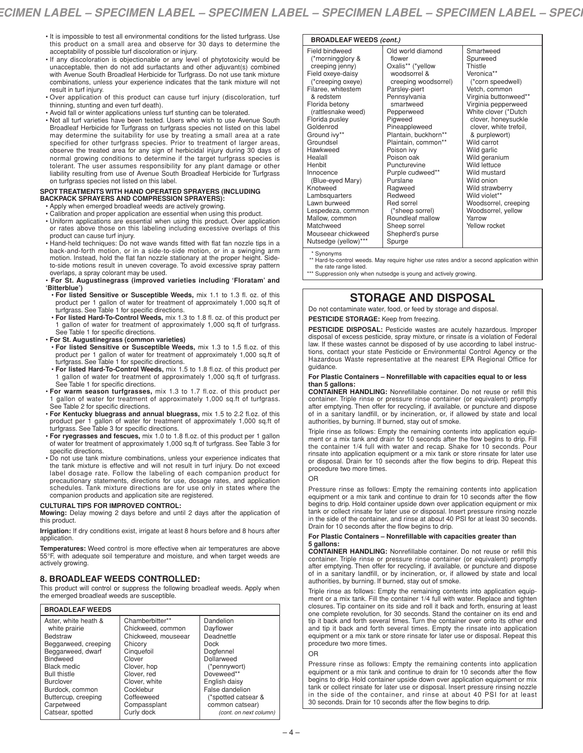- It is impossible to test all environmental conditions for the listed turfgrass. Use this product on a small area and observe for 30 days to determine the acceptability of possible turf discoloration or injury.
- If any discoloration is objectionable or any level of phytotoxicity would be unacceptable, then do not add surfactants and other adjuvant(s) combined with Avenue South Broadleaf Herbicide for Turfgrass. Do not use tank mixture combinations, unless your experience indicates that the tank mixture will not result in turf injury.
- Over application of this product can cause turf injury (discoloration, turf thinning, stunting and even turf death).
- Avoid fall or winter applications unless turf stunting can be tolerated.
- Not all turf varieties have been tested. Users who wish to use Avenue South Broadleaf Herbicide for Turfgrass on turfgrass species not listed on this label may determine the suitability for use by treating a small area at a rate specified for other turfgrass species. Prior to treatment of larger areas, observe the treated area for any sign of herbicidal injury during 30 days of normal growing conditions to determine if the target turfgrass species is tolerant. The user assumes responsibility for any plant damage or other liability resulting from use of Avenue South Broadleaf Herbicide for Turfgrass on turfgrass species not listed on this label.

#### **SPOT TREATMENTS WITH HAND OPERATED SPRAYERS (INCLUDING BACKPACK SPRAYERS AND COMPRESSION SPRAYERS):**

- Apply when emerged broadleaf weeds are actively growing.
- Calibration and proper application are essential when using this product.
- Uniform applications are essential when using this product. Over application or rates above those on this labeling including excessive overlaps of this product can cause turf injury.
- Hand-held techniques: Do not wave wands fitted with flat fan nozzle tips in a back-and-forth motion, or in a side-to-side motion, or in a swinging arm motion. Instead, hold the flat fan nozzle stationary at the proper height. Sideto-side motions result in uneven coverage. To avoid excessive spray pattern overlaps, a spray colorant may be used.
- **For St. Augustinegrass (improved varieties including 'Floratam' and 'Bitterblue')**
- **For listed Sensitive or Susceptible Weeds,** mix 1.1 to 1.3 fl. oz. of this product per 1 gallon of water for treatment of approximately 1,000 sq.ft of turfgrass. See Table 1 for specific directions.
- **For listed Hard-To-Control Weeds,** mix 1.3 to 1.8 fl. oz. of this product per 1 gallon of water for treatment of approximately 1,000 sq.ft of turfgrass. See Table 1 for specific directions.
- **For St. Augustinegrass (common varieties)**
- **For listed Sensitive or Susceptible Weeds,** mix 1.3 to 1.5 fl.oz. of this product per 1 gallon of water for treatment of approximately 1,000 sq.ft of turfgrass. See Table 1 for specific directions.
- **For listed Hard-To-Control Weeds,** mix 1.5 to 1.8 fl.oz. of this product per gallon of water for treatment of approximately 1,000 sq.ft of turfgrass. See Table 1 for specific directions.
- **For warm season turfgrasses,** mix 1.3 to 1.7 fl.oz. of this product per 1 gallon of water for treatment of approximately 1,000 sq.ft of turfgrass. See Table 2 for specific directions.
- **For Kentucky bluegrass and annual bluegrass,** mix 1.5 to 2.2 fl.oz. of this product per 1 gallon of water for treatment of approximately 1,000 sq.ft of turfgrass. See Table 3 for specific directions.
- **For ryegrasses and fescues,** mix 1.0 to 1.8 fl.oz. of this product per 1 gallon of water for treatment of approximately 1,000 sq.ft of turfgrass. See Table 3 for specific directions.
- Do not use tank mixture combinations, unless your experience indicates that the tank mixture is effective and will not result in turf injury. Do not exceed label dosage rate. Follow the labeling of each companion product for precautionary statements, directions for use, dosage rates, and application schedules. Tank mixture directions are for use only in states where the companion products and application site are registered.

# **CULTURAL TIPS FOR IMPROVED CONTROL:**

**Mowing:** Delay mowing 2 days before and until 2 days after the application of this product.

**Irrigation:** If dry conditions exist, irrigate at least 8 hours before and 8 hours after application.

**Temperatures:** Weed control is more effective when air temperatures are above 55°F, with adequate soil temperature and moisture, and when target weeds are actively growing.

# **8. BROADLEAF WEEDS CONTROLLED:**

This product will control or suppress the following broadleaf weeds. Apply when the emerged broadleaf weeds are susceptible.

#### **BROADLEAF WEEDS**

| Chamberbitter**     | Dandelion              |
|---------------------|------------------------|
|                     | Dayflower              |
| Chickweed, mouseear | Deadnettle             |
| Chicory             | Dock                   |
| Cinquefoil          | Dogfennel              |
| Clover              | Dollarweed             |
| Clover, hop         | (*pennywort)           |
| Clover, red         | Doveweed**             |
| Clover, white       | English daisy          |
| Cocklebur           | False dandelion        |
| Coffeeweed          | (*spotted catsear &    |
| Compassplant        | common catsear)        |
| Curly dock          | (cont. on next column) |
|                     | Chickweed, common      |

#### **BROADLEAF WEEDS** *(cont.)*

| Field bindweed       | Old world diamond         | Smartweed              |
|----------------------|---------------------------|------------------------|
| (*morningglory &     | flower                    | Spurweed               |
| creeping jenny)      | Oxalis** (*yellow         | Thistle                |
| Field oxeye-daisy    | woodsorrel &              | Veronica**             |
| (*creeping oxeye)    | creeping woodsorrel)      | (*corn speedwell)      |
| Filaree, whitestem   |                           | Vetch, common          |
| & redstem            | Parsley-piert             |                        |
|                      | Pennsylvania<br>smartweed | Virginia buttonweed**  |
| Florida betony       |                           | Virginia pepperweed    |
| (rattlesnake weed)   | Pepperweed                | White clover (*Dutch   |
| Florida pusley       | Pigweed                   | clover, honeysuckle    |
| Goldenrod            | Pineappleweed             | clover, white trefoil, |
| Ground ivy**         | Plantain, buckhorn**      | & purplewort)          |
| Groundsel            | Plaintain, common**       | Wild carrot            |
| Hawkweed             | Poison ivy                | Wild garlic            |
| Healall              | Poison oak                | Wild geranium          |
| Henbit               | Puncturevine              | Wild lettuce           |
| Innocence            | Purple cudweed**          | Wild mustard           |
| (Blue-eyed Mary)     | Purslane                  | Wild onion             |
| Knotweed             | Ragweed                   | Wild strawberry        |
| Lambsquarters        | Redweed                   | Wild violet**          |
| Lawn burweed         | Red sorrel                | Woodsorrel, creeping   |
| Lespedeza, common    | (*sheep sorrel)           | Woodsorrel, yellow     |
| Mallow, common       | Roundleaf mallow          | Yarrow                 |
| Matchweed            | Sheep sorrel              | Yellow rocket          |
| Mouseear chickweed   | Shepherd's purse          |                        |
| Nutsedge (yellow)*** | Spurge                    |                        |
|                      |                           |                        |

\* Synonyms

Hard-to-control weeds. May require higher use rates and/or a second application within the rate range listed.

Suppression only when nutsedge is young and actively growing.

# **STORAGE AND DISPOSAL**

Do not contaminate water, food, or feed by storage and disposal.

**PESTICIDE STORAGE:** Keep from freezing.

**PESTICIDE DISPOSAL:** Pesticide wastes are acutely hazardous. Improper disposal of excess pesticide, spray mixture, or rinsate is a violation of Federal law. If these wastes cannot be disposed of by use according to label instructions, contact your state Pesticide or Environmental Control Agency or the Hazardous Waste representative at the nearest EPA Regional Office for guidance.

#### **For Plastic Containers – Nonrefillable with capacities equal to or less than 5 gallons:**

**CONTAINER HANDLING:** Nonrefillable container. Do not reuse or refill this container. Triple rinse or pressure rinse container (or equivalent) promptly after emptying. Then offer for recycling, if available, or puncture and dispose of in a sanitary landfill, or by incineration, or, if allowed by state and local authorities, by burning. If burned, stay out of smoke.

Triple rinse as follows: Empty the remaining contents into application equipment or a mix tank and drain for 10 seconds after the flow begins to drip. Fill the container 1/4 full with water and recap. Shake for 10 seconds. Pour rinsate into application equipment or a mix tank or store rinsate for later use or disposal. Drain for 10 seconds after the flow begins to drip. Repeat this procedure two more times.

#### OR

Pressure rinse as follows: Empty the remaining contents into application equipment or a mix tank and continue to drain for 10 seconds after the flow begins to drip. Hold container upside down over application equipment or mix tank or collect rinsate for later use or disposal. Insert pressure rinsing nozzle in the side of the container, and rinse at about 40 PSI for at least 30 seconds. Drain for 10 seconds after the flow begins to drip.

#### **For Plastic Containers – Nonrefillable with capacities greater than 5 gallons:**

**CONTAINER HANDLING:** Nonrefillable container. Do not reuse or refill this container. Triple rinse or pressure rinse container (or equivalent) promptly after emptying. Then offer for recycling, if available, or puncture and dispose of in a sanitary landfill, or by incineration, or, if allowed by state and local authorities, by burning. If burned, stay out of smoke.

Triple rinse as follows: Empty the remaining contents into application equipment or a mix tank. Fill the container 1/4 full with water. Replace and tighten closures. Tip container on its side and roll it back and forth, ensuring at least one complete revolution, for 30 seconds. Stand the container on its end and tip it back and forth several times. Turn the container over onto its other end and tip it back and forth several times. Empty the rinsate into application equipment or a mix tank or store rinsate for later use or disposal. Repeat this procedure two more times.

# OR

Pressure rinse as follows: Empty the remaining contents into application equipment or a mix tank and continue to drain for 10 seconds after the flow begins to drip. Hold container upside down over application equipment or mix tank or collect rinsate for later use or disposal. Insert pressure rinsing nozzle in the side of the container, and rinse at about 40 PSI for at least 30 seconds. Drain for 10 seconds after the flow begins to drip.